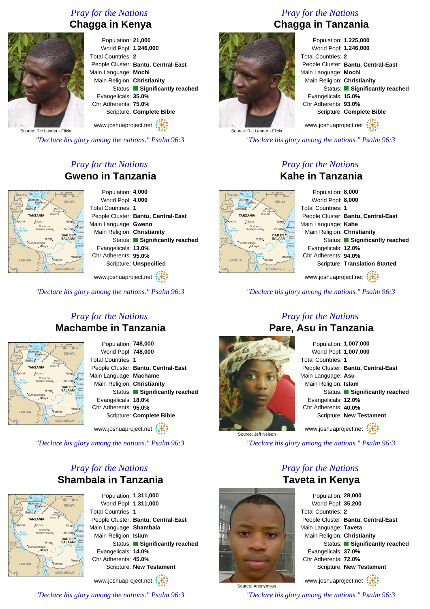## *Pray for the Nations* **Chagga in Kenya**



Population: **21,000** World Popl: **1,246,000** Total Countries: **2** People Cluster: **Bantu, Central-East** Main Language: **Mochi** Main Religion: **Christianity** Status: **Significantly reached** Evangelicals: **35.0%** Chr Adherents: **75.0%** Scripture: **Complete Bible**

www.joshuaproject.net

Source: Ric Lander - Flick

*"Declare his glory among the nations." Psalm 96:3*

## *Pray for the Nations* **Gweno in Tanzania**



www.joshuaproject.net

*"Declare his glory among the nations." Psalm 96:3*

#### *Pray for the Nations* **Machambe in Tanzania**



Population: **748,000** World Popl: **748,000** Total Countries: **1** People Cluster: **Bantu, Central-East** Main Language: **Machame** Main Religion: **Christianity** Status: **Significantly reached** Evangelicals: **18.0%** Chr Adherents: **95.0%** Scripture: **Complete Bible** www.joshuaproject.net :

*"Declare his glory among the nations." Psalm 96:3*

### *Pray for the Nations* **Shambala in Tanzania**



Population: **1,311,000** World Popl: **1,311,000** Total Countries: **1** People Cluster: **Bantu, Central-East** Main Language: **Shambala** Main Religion: **Islam** Status: **Significantly reached** Evangelicals: **14.0%** Chr Adherents: **45.0%** Scripture: **New Testament**

www.joshuaproject.net

*"Declare his glory among the nations." Psalm 96:3*

# *Pray for the Nations* **Chagga in Tanzania**



Population: **1,225,000** World Popl: **1,246,000** Total Countries: **2** People Cluster: **Bantu, Central-East** Main Language: **Mochi** Main Religion: **Christianity** Status: **Significantly reached** Evangelicals: **15.0%** Chr Adherents: **93.0%** Scripture: **Complete Bible**

www.joshuaproject.net

*"Declare his glory among the nations." Psalm 96:3*

#### *Pray for the Nations* **Kahe in Tanzania**

Population: **8,000** World Popl: **8,000 KENYA** Total Countries: **1** People Cluster: **Bantu, Central-East** Main Language: **Kahe** Main Religion: **Christianity** Status: **Significantly reached** Evangelicals: **12.0%** Chr Adherents: **94.0%** Scripture: **Translation Started** www.joshuaproject.net

*"Declare his glory among the nations." Psalm 96:3*

#### *Pray for the Nations* **Pare, Asu in Tanzania**



Population: **1,007,000** World Popl: **1,007,000** Total Countries: **1** People Cluster: **Bantu, Central-East** Main Language: **Asu** Main Religion: **Islam** Status: **Significantly reached** Evangelicals: **12.0%** Chr Adherents: **40.0%** Scripture: **New Testament** www.joshuaproject.net

*"Declare his glory among the nations." Psalm 96:3*

*Pray for the Nations* **Taveta in Kenya**



Population: **28,000** World Popl: **35,200** Total Countries: **2** People Cluster: **Bantu, Central-East** Main Language: **Taveta** Main Religion: **Christianity** Status: **Significantly reached** Evangelicals: **37.0%** Chr Adherents: **72.0%** Scripture: **New Testament** www.joshuaproject.net

*"Declare his glory among the nations." Psalm 96:3*